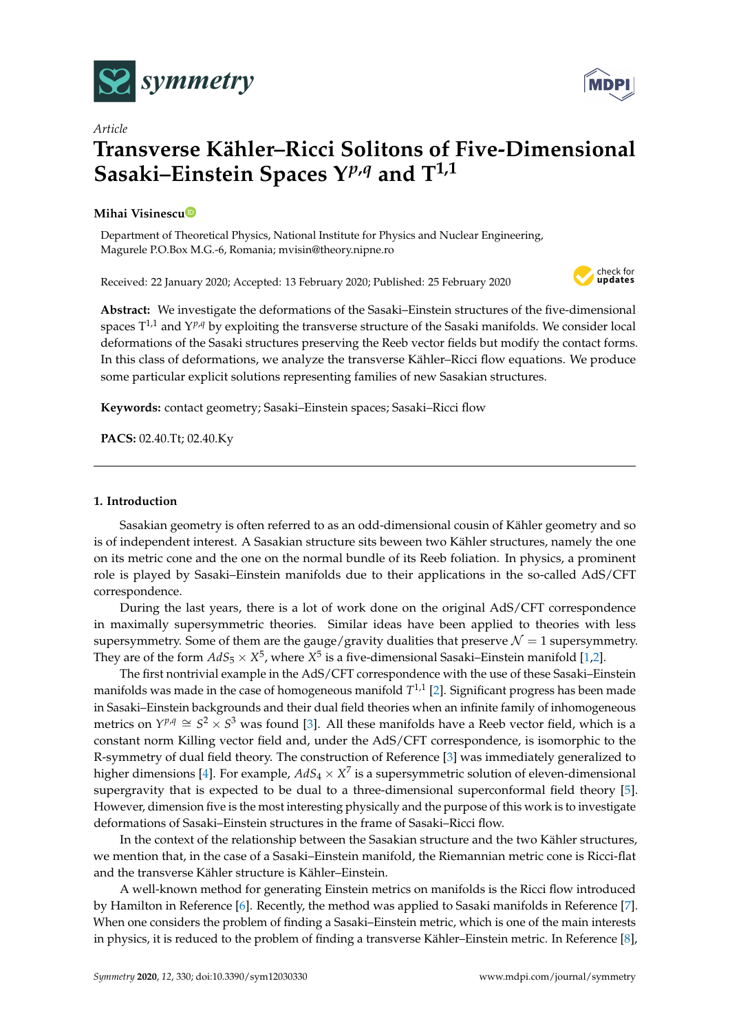

# *Article* **Transverse Kähler–Ricci Solitons of Five-Dimensional Sasaki–Einstein Spaces Y***p***,***<sup>q</sup>* **and T1,1**

## **Mihai Visinesc[u](https://orcid.org/0000-0001-9845-3435)**

Department of Theoretical Physics, National Institute for Physics and Nuclear Engineering, Magurele P.O.Box M.G.-6, Romania; mvisin@theory.nipne.ro

Received: 22 January 2020; Accepted: 13 February 2020; Published: 25 February 2020



**MDP** 

**Abstract:** We investigate the deformations of the Sasaki–Einstein structures of the five-dimensional spaces  $T^{1,1}$  and  $Y^{p,q}$  by exploiting the transverse structure of the Sasaki manifolds. We consider local deformations of the Sasaki structures preserving the Reeb vector fields but modify the contact forms. In this class of deformations, we analyze the transverse Kähler–Ricci flow equations. We produce some particular explicit solutions representing families of new Sasakian structures.

**Keywords:** contact geometry; Sasaki–Einstein spaces; Sasaki–Ricci flow

**PACS:** 02.40.Tt; 02.40.Ky

#### **1. Introduction**

Sasakian geometry is often referred to as an odd-dimensional cousin of Kähler geometry and so is of independent interest. A Sasakian structure sits beween two Kähler structures, namely the one on its metric cone and the one on the normal bundle of its Reeb foliation. In physics, a prominent role is played by Sasaki–Einstein manifolds due to their applications in the so-called AdS/CFT correspondence.

During the last years, there is a lot of work done on the original AdS/CFT correspondence in maximally supersymmetric theories. Similar ideas have been applied to theories with less supersymmetry. Some of them are the gauge/gravity dualities that preserve  $\mathcal{N} = 1$  supersymmetry. They are of the form  $AdS_5\times X^5$ , where  $X^5$  is a five-dimensional Sasaki–Einstein manifold [\[1](#page-10-0)[,2\]](#page-10-1).

The first nontrivial example in the AdS/CFT correspondence with the use of these Sasaki–Einstein manifolds was made in the case of homogeneous manifold *T* 1,1 [\[2\]](#page-10-1). Significant progress has been made in Sasaki–Einstein backgrounds and their dual field theories when an infinite family of inhomogeneous metrics on  $Y^{p,q} \cong S^2 \times S^3$  was found [\[3\]](#page-10-2). All these manifolds have a Reeb vector field, which is a constant norm Killing vector field and, under the AdS/CFT correspondence, is isomorphic to the R-symmetry of dual field theory. The construction of Reference [\[3\]](#page-10-2) was immediately generalized to higher dimensions [\[4\]](#page-10-3). For example,  $AdS_4\times X^7$  is a supersymmetric solution of eleven-dimensional supergravity that is expected to be dual to a three-dimensional superconformal field theory [\[5\]](#page-10-4). However, dimension five is the most interesting physically and the purpose of this work is to investigate deformations of Sasaki–Einstein structures in the frame of Sasaki–Ricci flow.

In the context of the relationship between the Sasakian structure and the two Kähler structures, we mention that, in the case of a Sasaki–Einstein manifold, the Riemannian metric cone is Ricci-flat and the transverse Kähler structure is Kähler–Einstein.

A well-known method for generating Einstein metrics on manifolds is the Ricci flow introduced by Hamilton in Reference [\[6\]](#page-10-5). Recently, the method was applied to Sasaki manifolds in Reference [\[7\]](#page-10-6). When one considers the problem of finding a Sasaki–Einstein metric, which is one of the main interests in physics, it is reduced to the problem of finding a transverse Kähler–Einstein metric. In Reference [\[8\]](#page-10-7),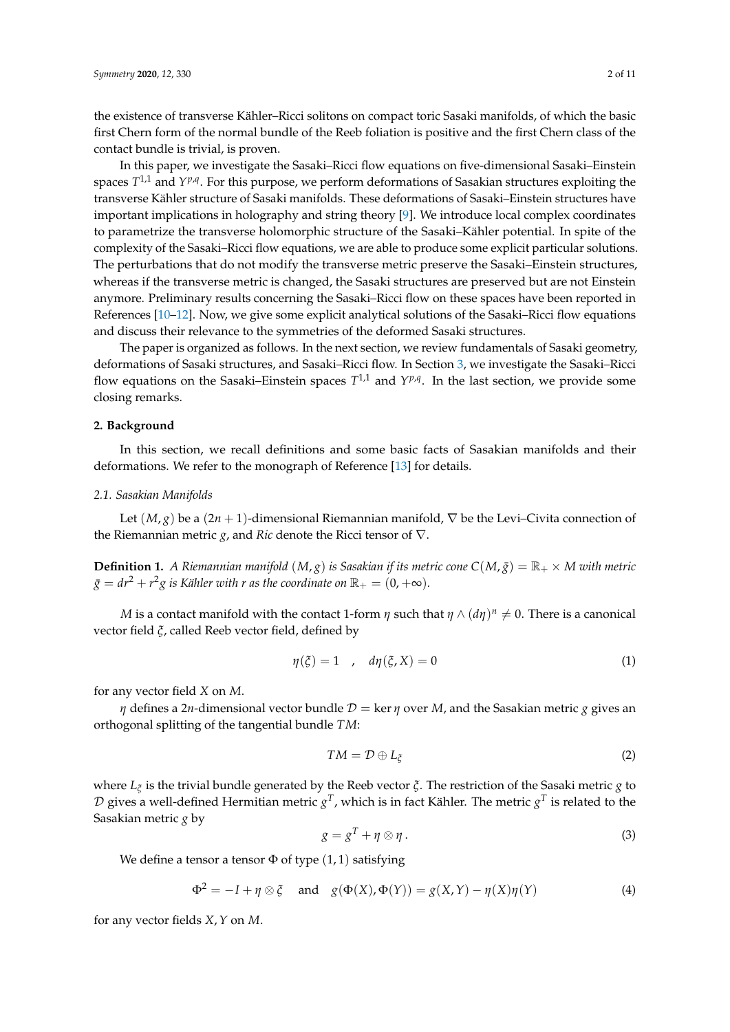the existence of transverse Kähler–Ricci solitons on compact toric Sasaki manifolds, of which the basic first Chern form of the normal bundle of the Reeb foliation is positive and the first Chern class of the contact bundle is trivial, is proven.

In this paper, we investigate the Sasaki–Ricci flow equations on five-dimensional Sasaki–Einstein spaces  $T^{1,1}$  and  $Y^{p,q}$ . For this purpose, we perform deformations of Sasakian structures exploiting the transverse Kähler structure of Sasaki manifolds. These deformations of Sasaki–Einstein structures have important implications in holography and string theory [\[9\]](#page-10-8). We introduce local complex coordinates to parametrize the transverse holomorphic structure of the Sasaki–Kähler potential. In spite of the complexity of the Sasaki–Ricci flow equations, we are able to produce some explicit particular solutions. The perturbations that do not modify the transverse metric preserve the Sasaki–Einstein structures, whereas if the transverse metric is changed, the Sasaki structures are preserved but are not Einstein anymore. Preliminary results concerning the Sasaki–Ricci flow on these spaces have been reported in References [\[10–](#page-10-9)[12\]](#page-10-10). Now, we give some explicit analytical solutions of the Sasaki–Ricci flow equations and discuss their relevance to the symmetries of the deformed Sasaki structures.

The paper is organized as follows. In the next section, we review fundamentals of Sasaki geometry, deformations of Sasaki structures, and Sasaki–Ricci flow. In Section [3,](#page-4-0) we investigate the Sasaki–Ricci flow equations on the Sasaki–Einstein spaces  $T^{1,1}$  and  $Y^{p,q}$ . In the last section, we provide some closing remarks.

#### **2. Background**

In this section, we recall definitions and some basic facts of Sasakian manifolds and their deformations. We refer to the monograph of Reference [\[13\]](#page-10-11) for details.

#### *2.1. Sasakian Manifolds*

Let (*M*, *g*) be a (2*n* + 1)-dimensional Riemannian manifold, ∇ be the Levi–Civita connection of the Riemannian metric *g*, and *Ric* denote the Ricci tensor of ∇.

**Definition 1.** *A Riemannian manifold*  $(M, g)$  *is Sasakian if its metric cone*  $C(M, \bar{g}) = \mathbb{R}_+ \times M$  *with metric*  $\bar{g}=dr^2+r^2g$  is Kähler with r as the coordinate on  $\mathbb{R}_+=(0,+\infty).$ 

*M* is a contact manifold with the contact 1-form  $\eta$  such that  $\eta \wedge (d\eta)^n \neq 0.$  There is a canonical vector field *ξ*, called Reeb vector field, defined by

$$
\eta(\xi) = 1 \quad , \quad d\eta(\xi, X) = 0 \tag{1}
$$

for any vector field *X* on *M*.

*η* defines a 2*n*-dimensional vector bundle  $D = \ker η$  over *M*, and the Sasakian metric *g* gives an orthogonal splitting of the tangential bundle *TM*:

$$
TM = \mathcal{D} \oplus L_{\xi} \tag{2}
$$

where *L<sup>ξ</sup>* is the trivial bundle generated by the Reeb vector *ξ*. The restriction of the Sasaki metric *g* to  ${\cal D}$  gives a well-defined Hermitian metric  $g^T$ , which is in fact Kähler. The metric  $g^T$  is related to the Sasakian metric *g* by

<span id="page-1-0"></span>
$$
g = g^T + \eta \otimes \eta \,. \tag{3}
$$

We define a tensor a tensor  $\Phi$  of type  $(1, 1)$  satisfying

$$
\Phi^2 = -I + \eta \otimes \xi \quad \text{and} \quad g(\Phi(X), \Phi(Y)) = g(X, Y) - \eta(X)\eta(Y) \tag{4}
$$

for any vector fields *X*,*Y* on *M*.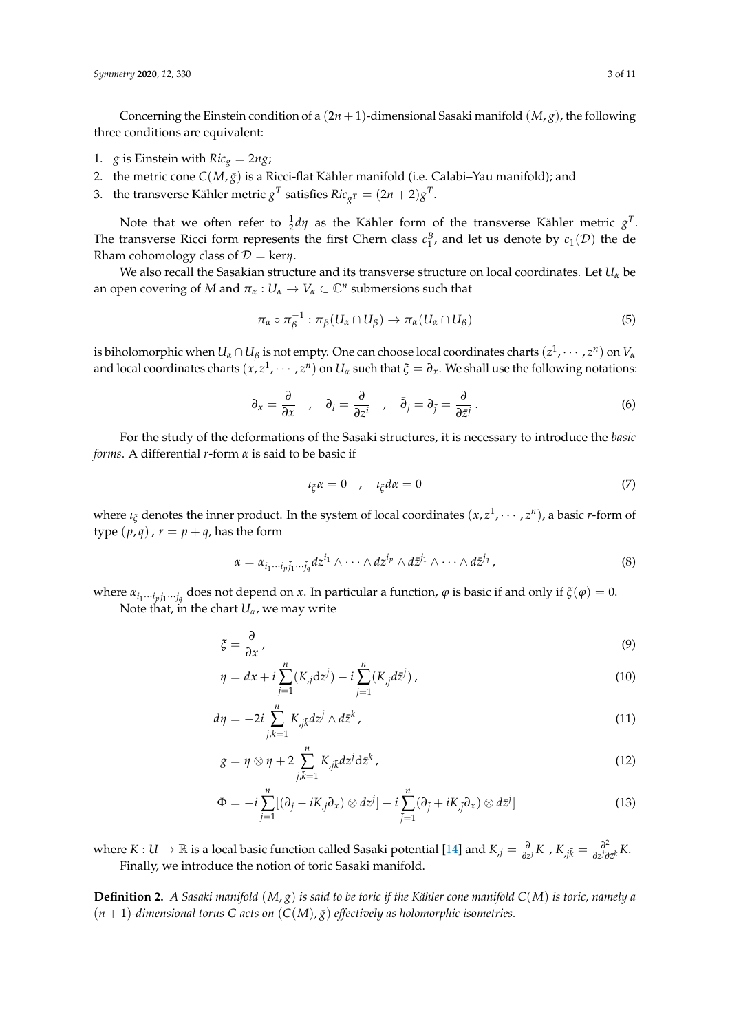Concerning the Einstein condition of a  $(2n + 1)$ -dimensional Sasaki manifold  $(M, g)$ , the following three conditions are equivalent:

- 1. *g* is Einstein with  $Ric_g = 2ng$ ;
- 2. the metric cone  $C(M, \bar{g})$  is a Ricci-flat Kähler manifold (i.e. Calabi–Yau manifold); and
- 3. the transverse Kähler metric  $g^T$  satisfies  $Ric_{g^T} = (2n+2)g^T$ .

Note that we often refer to  $\frac{1}{2}d\eta$  as the Kähler form of the transverse Kähler metric  $g^T$ . The transverse Ricci form represents the first Chern class  $c_1^B$ , and let us denote by  $c_1(\mathcal{D})$  the de Rham cohomology class of  $D = \text{ker} \eta$ .

We also recall the Sasakian structure and its transverse structure on local coordinates. Let *U<sup>α</sup>* be an open covering of *M* and  $\pi_\alpha: U_\alpha \to V_\alpha \subset \mathbb{C}^n$  submersions such that

$$
\pi_{\alpha} \circ \pi_{\beta}^{-1} : \pi_{\beta}(U_{\alpha} \cap U_{\beta}) \to \pi_{\alpha}(U_{\alpha} \cap U_{\beta})
$$
\n
$$
(5)
$$

is biholomorphic when  $U_\alpha\cap U_\beta$  is not empty. One can choose local coordinates charts  $(z^1,\cdots,z^n)$  on  $V_\alpha$ and local coordinates charts  $(x, z^1, \dots, z^n)$  on  $U_\alpha$  such that  $\xi = \partial_x$ . We shall use the following notations:

$$
\partial_x = \frac{\partial}{\partial x} \quad , \quad \partial_i = \frac{\partial}{\partial z^i} \quad , \quad \bar{\partial}_j = \partial_{\bar{j}} = \frac{\partial}{\partial \bar{z}^j} \,. \tag{6}
$$

For the study of the deformations of the Sasaki structures, it is necessary to introduce the *basic forms*. A differential *r*-form *α* is said to be basic if

<span id="page-2-0"></span>
$$
\iota_{\xi}\alpha = 0 \t , \t \iota_{\xi}d\alpha = 0 \t (7)
$$

where  $\iota_{\xi}$  denotes the inner product. In the system of local coordinates  $(x, z^1, \dots, z^n)$ , a basic *r*-form of type  $(p, q)$ ,  $r = p + q$ , has the form

$$
\alpha = \alpha_{i_1 \cdots i_p \bar{j}_1 \cdots \bar{j}_q} dz^{i_1} \wedge \cdots \wedge dz^{i_p} \wedge d\bar{z}^{j_1} \wedge \cdots \wedge d\bar{z}^{j_q}, \qquad (8)
$$

 $\alpha$ <sup>*i*</sup><sub>1</sub>...*i*<sub>*p*</sub><sup>*j*</sup><sub>1</sub>...*j*<sub>*q*</sub></sub> does not depend on *x*. In particular a function, *φ* is basic if and only if  $\zeta$ (*φ*) = 0. Note that, in the chart  $U_\alpha$ , we may write

$$
\xi = \frac{\partial}{\partial x},\tag{9}
$$

$$
\eta = dx + i \sum_{j=1}^{n} (K_j dz^j) - i \sum_{j=1}^{n} (K_j d\bar{z}^j), \qquad (10)
$$

$$
d\eta = -2i \sum_{j,\bar{k}=1}^{n} K_{j\bar{k}} dz^{j} \wedge d\bar{z}^{k}, \qquad (11)
$$

<span id="page-2-1"></span>
$$
g = \eta \otimes \eta + 2 \sum_{j,\bar{k}=1}^{n} K_{j\bar{k}} dz^{j} \mathrm{d} \bar{z}^{k}, \qquad (12)
$$

$$
\Phi = -i \sum_{j=1}^{n} [(\partial_j - iK_{,j}\partial_x) \otimes dz^j] + i \sum_{\bar{j}=1}^{n} (\partial_{\bar{j}} + iK_{,\bar{j}}\partial_x) \otimes d\bar{z}^j]
$$
(13)

where  $K: U \to \mathbb{R}$  is a local basic function called Sasaki potential [\[14\]](#page-10-12) and  $K_{,j} = \frac{\partial}{\partial z^{j}} K$ ,  $K_{,j\bar{k}} = \frac{\partial^{2}}{\partial z^{j\partial t}}$  $\frac{\partial^2}{\partial z^j \partial \bar{z}^k} K$ . Finally, we introduce the notion of toric Sasaki manifold.

**Definition 2.** *A Sasaki manifold* (*M*, *g*) *is said to be toric if the Kähler cone manifold C*(*M*) *is toric, namely a*  $(n + 1)$ -dimensional torus G acts on  $(C(M), \overline{g})$  effectively as holomorphic isometries.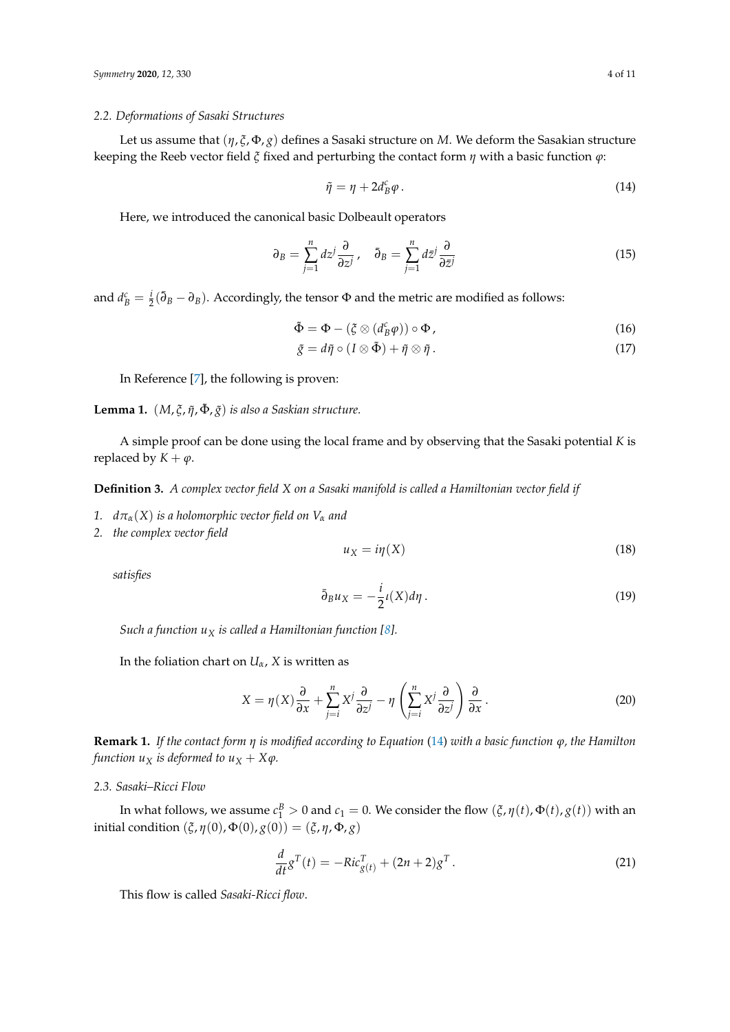## *2.2. Deformations of Sasaki Structures*

Let us assume that (*η*, *ξ*, Φ, *g*) defines a Sasaki structure on *M*. We deform the Sasakian structure keeping the Reeb vector field *ξ* fixed and perturbing the contact form *η* with a basic function *ϕ*:

<span id="page-3-0"></span>
$$
\tilde{\eta} = \eta + 2d_B^c \varphi. \tag{14}
$$

Here, we introduced the canonical basic Dolbeault operators

$$
\partial_B = \sum_{j=1}^n dz^j \frac{\partial}{\partial z^j}, \quad \bar{\partial}_B = \sum_{j=1}^n d\bar{z}^j \frac{\partial}{\partial \bar{z}^j}
$$
(15)

and  $d_B^c = \frac{i}{2}(\bar{\partial}_B - \partial_B)$ . Accordingly, the tensor  $\Phi$  and the metric are modified as follows:

$$
\tilde{\Phi} = \Phi - (\xi \otimes (d_B^c \varphi)) \circ \Phi, \qquad (16)
$$

$$
\tilde{g} = d\tilde{\eta} \circ (I \otimes \tilde{\Phi}) + \tilde{\eta} \otimes \tilde{\eta} . \tag{17}
$$

In Reference [\[7\]](#page-10-6), the following is proven:

**Lemma 1.** (*M*, *ξ*, *η*˜, Φ˜ , *g*˜) *is also a Saskian structure.*

A simple proof can be done using the local frame and by observing that the Sasaki potential *K* is replaced by  $K + \varphi$ .

**Definition 3.** *A complex vector field X on a Sasaki manifold is called a Hamiltonian vector field if*

- *1.*  $d\pi_{\alpha}(X)$  *is a holomorphic vector field on*  $V_{\alpha}$  *and*
- *2. the complex vector field*

$$
u_X = i\eta(X) \tag{18}
$$

*satisfies*

$$
\bar{\partial}_B u_X = -\frac{i}{2} \iota(X) d\eta \,. \tag{19}
$$

*Such a function u<sup>X</sup> is called a Hamiltonian function [\[8\]](#page-10-7).*

In the foliation chart on  $U_\alpha$ , *X* is written as

$$
X = \eta(X)\frac{\partial}{\partial x} + \sum_{j=i}^{n} X^{j} \frac{\partial}{\partial z^{j}} - \eta \left(\sum_{j=i}^{n} X^{j} \frac{\partial}{\partial z^{j}}\right) \frac{\partial}{\partial x}.
$$
 (20)

**Remark 1.** *If the contact form η is modified according to Equation* [\(14\)](#page-3-0) *with a basic function ϕ, the Hamilton function*  $u_X$  *is deformed to*  $u_X + X\varphi$ *.* 

# *2.3. Sasaki–Ricci Flow*

In what follows, we assume  $c_1^B > 0$  and  $c_1 = 0$ . We consider the flow  $(\xi, \eta(t), \Phi(t), g(t))$  with an initial condition  $(\xi, \eta(0), \Phi(0), g(0)) = (\xi, \eta, \Phi, g)$ 

$$
\frac{d}{dt}g^{T}(t) = -Ric_{g(t)}^{T} + (2n+2)g^{T}.
$$
\n(21)

This flow is called *Sasaki-Ricci flow*.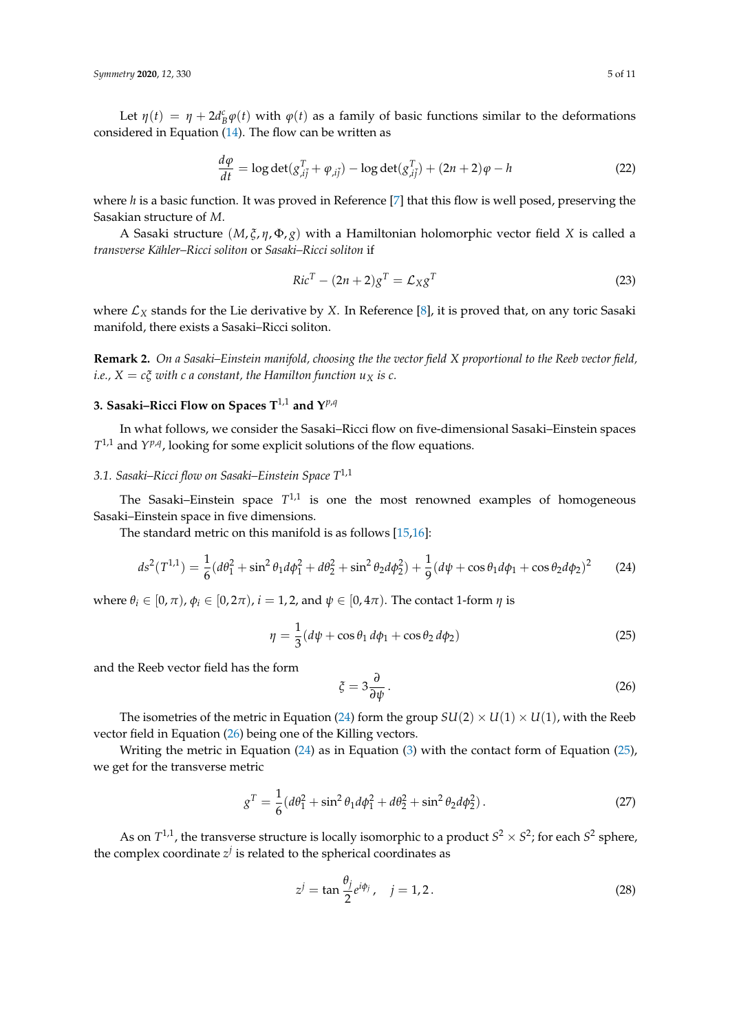Let  $\eta(t) = \eta + 2d_B^c \varphi(t)$  with  $\varphi(t)$  as a family of basic functions similar to the deformations considered in Equation  $(14)$ . The flow can be written as

<span id="page-4-4"></span>
$$
\frac{d\varphi}{dt} = \log \det(g_{,i\bar{j}}^T + \varphi_{,i\bar{j}}) - \log \det(g_{,i\bar{j}}^T) + (2n+2)\varphi - h \tag{22}
$$

where *h* is a basic function. It was proved in Reference [\[7\]](#page-10-6) that this flow is well posed, preserving the Sasakian structure of *M*.

A Sasaki structure (*M*, *ξ*, *η*, Φ, *g*) with a Hamiltonian holomorphic vector field *X* is called a *transverse Kähler–Ricci soliton* or *Sasaki–Ricci soliton* if

$$
RicT - (2n+2)gT = \mathcal{L}_X gT
$$
\n(23)

where  $\mathcal{L}_X$  stands for the Lie derivative by *X*. In Reference [\[8\]](#page-10-7), it is proved that, on any toric Sasaki manifold, there exists a Sasaki–Ricci soliton.

**Remark 2.** *On a Sasaki–Einstein manifold, choosing the the vector field X proportional to the Reeb vector field, i.e.,*  $X = c\xi$  *with c a constant, the Hamilton function u<sub>X</sub> is c.* 

# <span id="page-4-0"></span>**3. Sasaki–Ricci Flow on Spaces**  $T^{1,1}$  **and**  $Y^{p,q}$

In what follows, we consider the Sasaki–Ricci flow on five-dimensional Sasaki–Einstein spaces  $T^{1,1}$  and  $Y^{p,q}$ , looking for some explicit solutions of the flow equations.

# *3.1. Sasaki–Ricci flow on Sasaki–Einstein Space T*1,1

The Sasaki–Einstein space  $T^{1,1}$  is one the most renowned examples of homogeneous Sasaki–Einstein space in five dimensions.

The standard metric on this manifold is as follows [\[15](#page-10-13)[,16\]](#page-10-14):

<span id="page-4-1"></span>
$$
ds^{2}(T^{1,1}) = \frac{1}{6}(d\theta_{1}^{2} + \sin^{2}\theta_{1}d\phi_{1}^{2} + d\theta_{2}^{2} + \sin^{2}\theta_{2}d\phi_{2}^{2}) + \frac{1}{9}(d\psi + \cos\theta_{1}d\phi_{1} + \cos\theta_{2}d\phi_{2})^{2}
$$
(24)

where  $\theta_i \in [0, \pi)$ ,  $\phi_i \in [0, 2\pi)$ ,  $i = 1, 2$ , and  $\psi \in [0, 4\pi)$ . The contact 1-form  $\eta$  is

<span id="page-4-3"></span>
$$
\eta = \frac{1}{3}(d\psi + \cos\theta_1 d\phi_1 + \cos\theta_2 d\phi_2)
$$
\n(25)

and the Reeb vector field has the form

<span id="page-4-2"></span>
$$
\xi = 3 \frac{\partial}{\partial \psi} \,. \tag{26}
$$

The isometries of the metric in Equation [\(24\)](#page-4-1) form the group  $SU(2) \times U(1) \times U(1)$ , with the Reeb vector field in Equation [\(26\)](#page-4-2) being one of the Killing vectors.

Writing the metric in Equation [\(24\)](#page-4-1) as in Equation [\(3\)](#page-1-0) with the contact form of Equation [\(25\)](#page-4-3), we get for the transverse metric

$$
g^T = \frac{1}{6}(d\theta_1^2 + \sin^2\theta_1 d\phi_1^2 + d\theta_2^2 + \sin^2\theta_2 d\phi_2^2). \tag{27}
$$

As on  $T^{1,1}$ , the transverse structure is locally isomorphic to a product  $S^2 \times S^2$ ; for each  $S^2$  sphere, the complex coordinate  $z^j$  is related to the spherical coordinates as

<span id="page-4-5"></span>
$$
z^j = \tan \frac{\theta_j}{2} e^{i\phi_j}, \quad j = 1, 2. \tag{28}
$$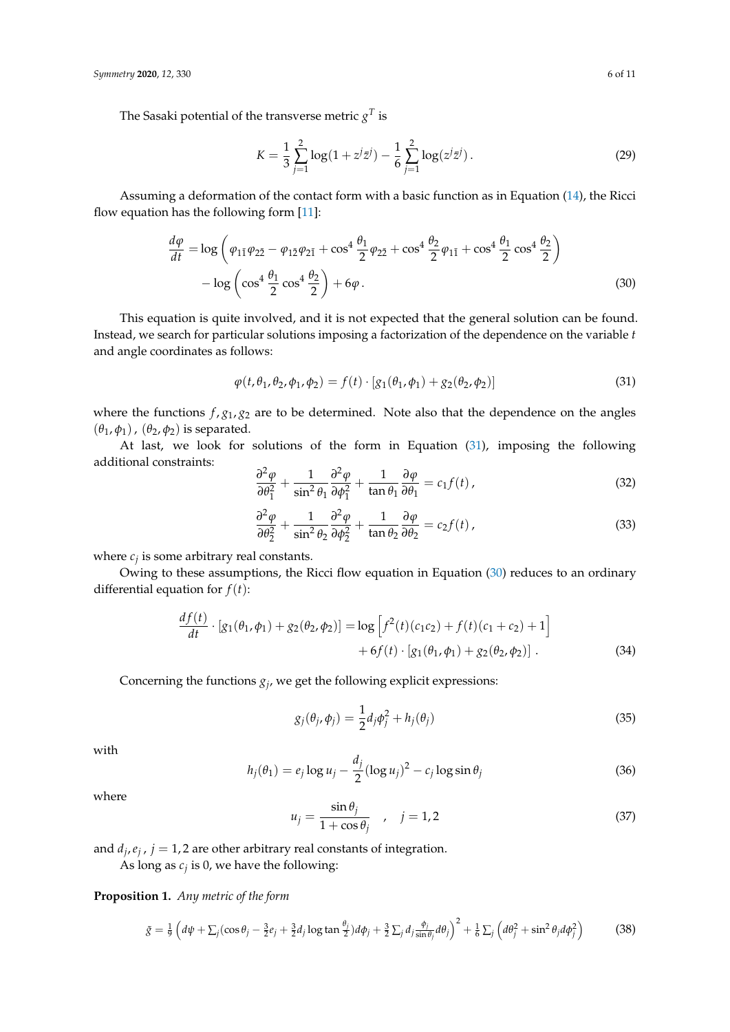The Sasaki potential of the transverse metric  $g^T$  is

<span id="page-5-1"></span>
$$
K = \frac{1}{3} \sum_{j=1}^{2} \log(1 + z^{j} \bar{z}^{j}) - \frac{1}{6} \sum_{j=1}^{2} \log(z^{j} \bar{z}^{j}).
$$
 (29)

Assuming a deformation of the contact form with a basic function as in Equation [\(14\)](#page-3-0), the Ricci flow equation has the following form [\[11\]](#page-10-15):

$$
\frac{d\varphi}{dt} = \log \left( \varphi_{1\bar{1}} \varphi_{2\bar{2}} - \varphi_{1\bar{2}} \varphi_{2\bar{1}} + \cos^4 \frac{\theta_1}{2} \varphi_{2\bar{2}} + \cos^4 \frac{\theta_2}{2} \varphi_{1\bar{1}} + \cos^4 \frac{\theta_1}{2} \cos^4 \frac{\theta_2}{2} \right) - \log \left( \cos^4 \frac{\theta_1}{2} \cos^4 \frac{\theta_2}{2} \right) + 6\varphi.
$$
\n(30)

This equation is quite involved, and it is not expected that the general solution can be found. Instead, we search for particular solutions imposing a factorization of the dependence on the variable *t* and angle coordinates as follows:

<span id="page-5-0"></span>
$$
\varphi(t, \theta_1, \theta_2, \phi_1, \phi_2) = f(t) \cdot [g_1(\theta_1, \phi_1) + g_2(\theta_2, \phi_2)] \tag{31}
$$

where the functions  $f$ ,  $g_1$ ,  $g_2$  are to be determined. Note also that the dependence on the angles (*θ*1, *φ*1), (*θ*2, *φ*2) is separated.

At last, we look for solutions of the form in Equation [\(31\)](#page-5-0), imposing the following additional constraints:

$$
\frac{\partial^2 \varphi}{\partial \theta_1^2} + \frac{1}{\sin^2 \theta_1} \frac{\partial^2 \varphi}{\partial \phi_1^2} + \frac{1}{\tan \theta_1} \frac{\partial \varphi}{\partial \theta_1} = c_1 f(t) , \qquad (32)
$$

$$
\frac{\partial^2 \varphi}{\partial \theta_2^2} + \frac{1}{\sin^2 \theta_2} \frac{\partial^2 \varphi}{\partial \phi_2^2} + \frac{1}{\tan \theta_2} \frac{\partial \varphi}{\partial \theta_2} = c_2 f(t), \tag{33}
$$

where  $c_j$  is some arbitrary real constants.

Owing to these assumptions, the Ricci flow equation in Equation [\(30\)](#page-5-1) reduces to an ordinary differential equation for  $f(t)$ :

$$
\frac{df(t)}{dt} \cdot [g_1(\theta_1, \phi_1) + g_2(\theta_2, \phi_2)] = \log \left[ f^2(t)(c_1c_2) + f(t)(c_1 + c_2) + 1 \right] \n+ 6f(t) \cdot [g_1(\theta_1, \phi_1) + g_2(\theta_2, \phi_2)].
$$
\n(34)

Concerning the functions *g<sup>j</sup>* , we get the following explicit expressions:

<span id="page-5-2"></span>
$$
g_j(\theta_j, \phi_j) = \frac{1}{2} d_j \phi_j^2 + h_j(\theta_j)
$$
\n(35)

with

$$
h_j(\theta_1) = e_j \log u_j - \frac{d_j}{2} (\log u_j)^2 - c_j \log \sin \theta_j \tag{36}
$$

where

$$
u_j = \frac{\sin \theta_j}{1 + \cos \theta_j} \quad , \quad j = 1, 2 \tag{37}
$$

and  $d_j$ ,  $e_j$ ,  $j = 1, 2$  are other arbitrary real constants of integration.

As long as *c<sup>j</sup>* is 0, we have the following:

**Proposition 1.** *Any metric of the form*

<span id="page-5-3"></span>
$$
\tilde{g} = \frac{1}{9} \left( d\psi + \sum_j (\cos \theta_j - \frac{3}{2} e_j + \frac{3}{2} d_j \log \tan \frac{\theta_j}{2}) d\phi_j + \frac{3}{2} \sum_j d_j \frac{\phi_j}{\sin \theta_j} d\theta_j \right)^2 + \frac{1}{6} \sum_j \left( d\theta_j^2 + \sin^2 \theta_j d\phi_j^2 \right)
$$
(38)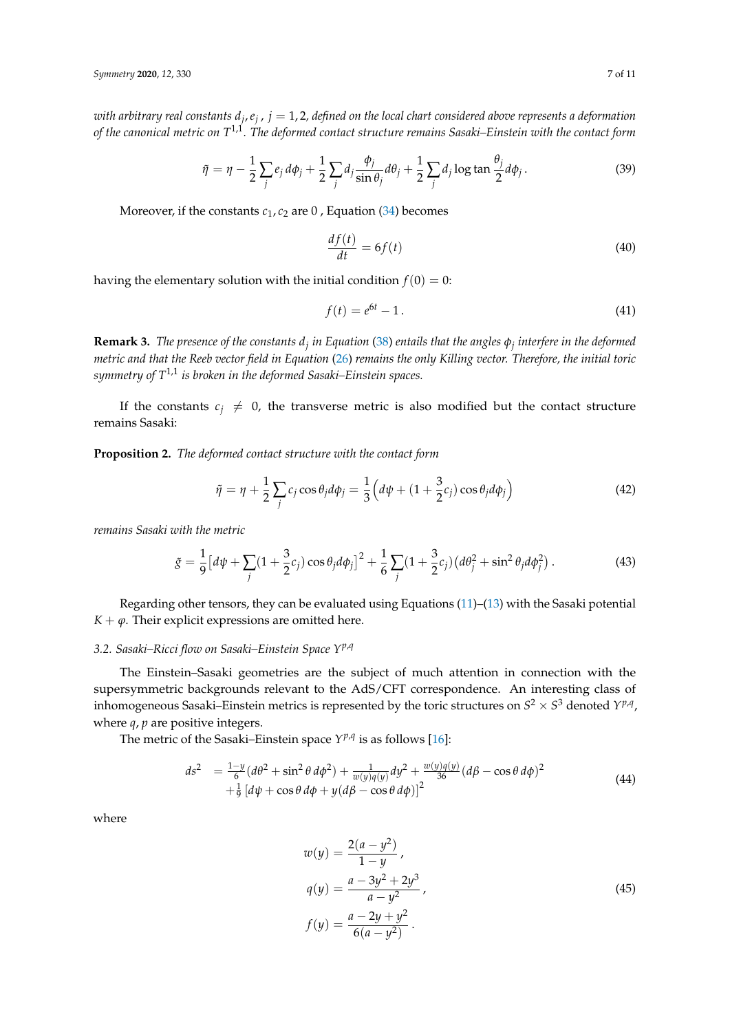with arbitrary real constants d<sub>j</sub>, e<sub>j</sub> , j = 1,2, defined on the local chart considered above represents a deformation *of the canonical metric on T*1,1*. The deformed contact structure remains Sasaki–Einstein with the contact form*

$$
\tilde{\eta} = \eta - \frac{1}{2} \sum_{j} e_j d\phi_j + \frac{1}{2} \sum_{j} d_j \frac{\phi_j}{\sin \theta_j} d\theta_j + \frac{1}{2} \sum_{j} d_j \log \tan \frac{\theta_j}{2} d\phi_j. \tag{39}
$$

Moreover, if the constants  $c_1$ ,  $c_2$  are 0, Equation [\(34\)](#page-5-2) becomes

$$
\frac{df(t)}{dt} = 6f(t) \tag{40}
$$

having the elementary solution with the initial condition  $f(0) = 0$ :

$$
f(t) = e^{6t} - 1.
$$
 (41)

**Remark 3.** *The presence of the constants d<sup>j</sup> in Equation* [\(38\)](#page-5-3) *entails that the angles φ<sup>j</sup> interfere in the deformed metric and that the Reeb vector field in Equation* [\(26\)](#page-4-2) *remains the only Killing vector. Therefore, the initial toric symmetry of T*1,1 *is broken in the deformed Sasaki–Einstein spaces.*

If the constants  $c_j \neq 0$ , the transverse metric is also modified but the contact structure remains Sasaki:

**Proposition 2.** *The deformed contact structure with the contact form*

$$
\tilde{\eta} = \eta + \frac{1}{2} \sum_{j} c_j \cos \theta_j d\phi_j = \frac{1}{3} \left( d\psi + (1 + \frac{3}{2} c_j) \cos \theta_j d\phi_j \right)
$$
(42)

*remains Sasaki with the metric*

$$
\tilde{g} = \frac{1}{9} \left[ d\psi + \sum_{j} (1 + \frac{3}{2} c_j) \cos \theta_j d\phi_j \right]^2 + \frac{1}{6} \sum_{j} (1 + \frac{3}{2} c_j) \left( d\theta_j^2 + \sin^2 \theta_j d\phi_j^2 \right). \tag{43}
$$

Regarding other tensors, they can be evaluated using Equations [\(11\)](#page-2-0)–[\(13\)](#page-2-1) with the Sasaki potential *K* +  $\varphi$ . Their explicit expressions are omitted here.

## *3.2. Sasaki–Ricci flow on Sasaki–Einstein Space Yp*,*<sup>q</sup>*

The Einstein–Sasaki geometries are the subject of much attention in connection with the supersymmetric backgrounds relevant to the AdS/CFT correspondence. An interesting class of inhomogeneous Sasaki–Einstein metrics is represented by the toric structures on  $S^2 \times S^3$  denoted  $Y^{p,q}$ , where *q*, *p* are positive integers.

The metric of the Sasaki–Einstein space  $Y^{p,q}$  is as follows [\[16\]](#page-10-14):

$$
ds^{2} = \frac{1-y}{6} (d\theta^{2} + \sin^{2} \theta d\phi^{2}) + \frac{1}{w(y)q(y)} dy^{2} + \frac{w(y)q(y)}{36} (d\beta - \cos \theta d\phi)^{2}
$$
  
+ $\frac{1}{9} [d\psi + \cos \theta d\phi + y (d\beta - \cos \theta d\phi)]^{2}$  (44)

where

$$
w(y) = \frac{2(a - y^{2})}{1 - y},
$$
  
\n
$$
q(y) = \frac{a - 3y^{2} + 2y^{3}}{a - y^{2}},
$$
  
\n
$$
f(y) = \frac{a - 2y + y^{2}}{6(a - y^{2})}.
$$
\n(45)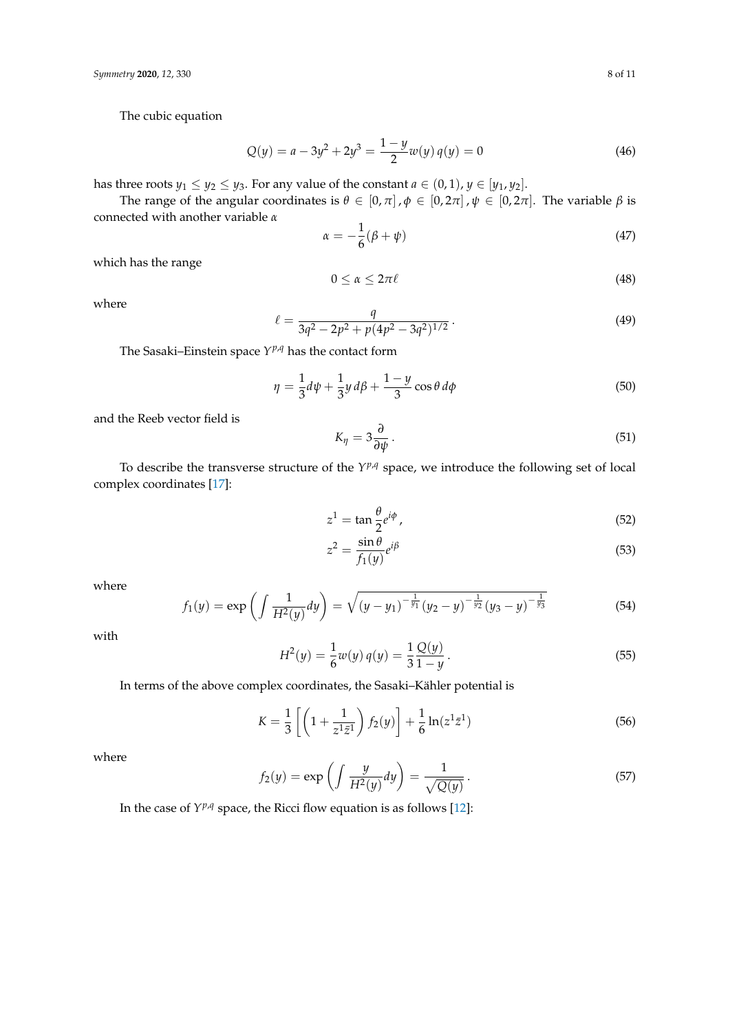The cubic equation

$$
Q(y) = a - 3y^2 + 2y^3 = \frac{1 - y}{2} w(y) q(y) = 0
$$
\n(46)

has three roots *y*<sub>1</sub>  $\leq$  *y*<sub>2</sub>  $\leq$  *y*<sub>3</sub>. For any value of the constant *a*  $\in$  (0, 1), *y*  $\in$  [*y*<sub>1</sub>, *y*<sub>2</sub>].

The range of the angular coordinates is  $\theta \in [0, \pi]$ ,  $\phi \in [0, 2\pi]$ ,  $\psi \in [0, 2\pi]$ . The variable  $\beta$  is connected with another variable *α*

$$
\alpha = -\frac{1}{6}(\beta + \psi) \tag{47}
$$

which has the range

$$
0 \le \alpha \le 2\pi\ell \tag{48}
$$

where

$$
\ell = \frac{q}{3q^2 - 2p^2 + p(4p^2 - 3q^2)^{1/2}}.
$$
\n(49)

The Sasaki–Einstein space *Y <sup>p</sup>*,*<sup>q</sup>* has the contact form

$$
\eta = \frac{1}{3}d\psi + \frac{1}{3}y\,d\beta + \frac{1-y}{3}\cos\theta\,d\phi\tag{50}
$$

and the Reeb vector field is

<span id="page-7-2"></span>
$$
K_{\eta} = 3 \frac{\partial}{\partial \psi} \,. \tag{51}
$$

To describe the transverse structure of the  $Y^{p,q}$  space, we introduce the following set of local complex coordinates [\[17\]](#page-10-16):

<span id="page-7-0"></span>
$$
z^1 = \tan \frac{\theta}{2} e^{i\phi} \,,\tag{52}
$$

<span id="page-7-1"></span>
$$
z^2 = \frac{\sin \theta}{f_1(y)} e^{i\beta} \tag{53}
$$

where

$$
f_1(y) = \exp\left(\int \frac{1}{H^2(y)} dy\right) = \sqrt{\left(y - y_1\right)^{-\frac{1}{y_1}} \left(y_2 - y\right)^{-\frac{1}{y_2}} \left(y_3 - y\right)^{-\frac{1}{y_3}}}
$$
(54)

with

$$
H^{2}(y) = \frac{1}{6}w(y)q(y) = \frac{1}{3}\frac{Q(y)}{1-y}.
$$
\n(55)

In terms of the above complex coordinates, the Sasaki–Kähler potential is

$$
K = \frac{1}{3} \left[ \left( 1 + \frac{1}{z^1 \bar{z}^1} \right) f_2(y) \right] + \frac{1}{6} \ln(z^1 \bar{z}^1)
$$
(56)

where

$$
f_2(y) = \exp\left(\int \frac{y}{H^2(y)} dy\right) = \frac{1}{\sqrt{Q(y)}}.
$$
\n(57)

In the case of  $Y^{p,q}$  space, the Ricci flow equation is as follows [\[12\]](#page-10-10):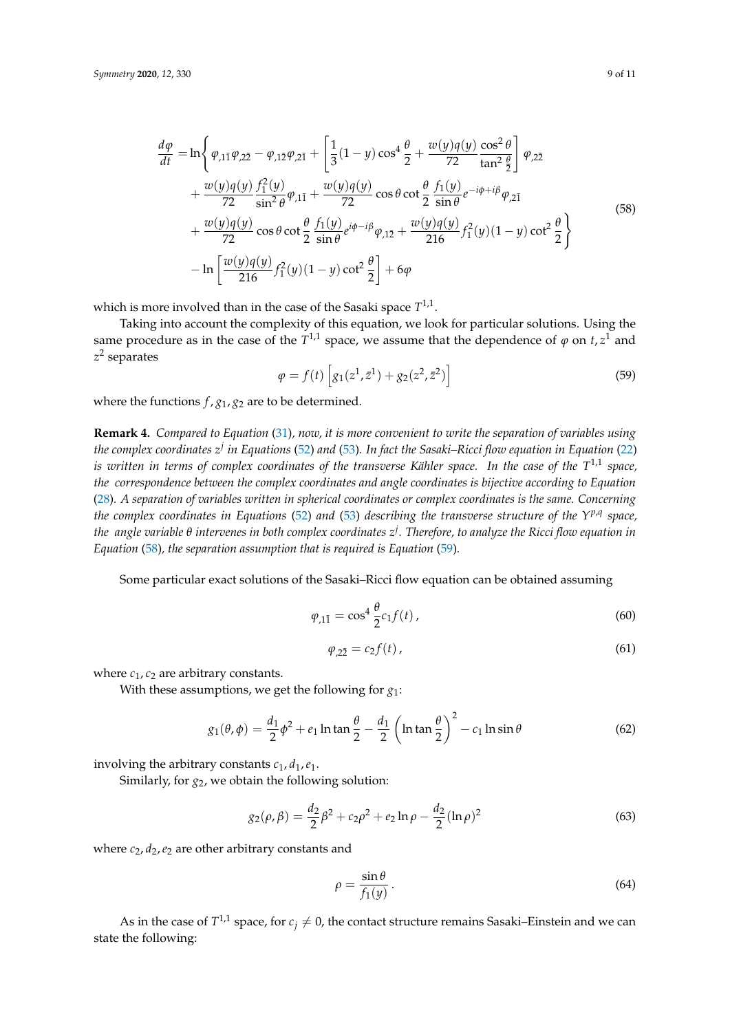<span id="page-8-0"></span>
$$
\frac{d\varphi}{dt} = \ln\left\{\varphi_{,1\bar{1}}\varphi_{,2\bar{2}} - \varphi_{,1\bar{2}}\varphi_{,2\bar{1}} + \left[\frac{1}{3}(1-y)\cos^{4}\frac{\theta}{2} + \frac{w(y)q(y)}{72}\frac{\cos^{2}\theta}{\tan^{2}\frac{\theta}{2}}\right]\varphi_{,2\bar{2}}\right. \\
\left. + \frac{w(y)q(y)}{72}\frac{f_{1}^{2}(y)}{\sin^{2}\theta}\varphi_{,1\bar{1}} + \frac{w(y)q(y)}{72}\cos\theta\cot\frac{\theta}{2}\frac{f_{1}(y)}{\sin\theta}e^{-i\phi+i\beta}\varphi_{,2\bar{1}}\right. \\
\left. + \frac{w(y)q(y)}{72}\cos\theta\cot\frac{\theta}{2}\frac{f_{1}(y)}{\sin\theta}e^{i\phi-i\beta}\varphi_{,1\bar{2}} + \frac{w(y)q(y)}{216}f_{1}^{2}(y)(1-y)\cot^{2}\frac{\theta}{2}\right\} \\
- \ln\left[\frac{w(y)q(y)}{216}f_{1}^{2}(y)(1-y)\cot^{2}\frac{\theta}{2}\right] + 6\varphi
$$
\n(58)

which is more involved than in the case of the Sasaki space  $T^{1,1}$ .

Taking into account the complexity of this equation, we look for particular solutions. Using the same procedure as in the case of the  $T^{1,1}$  space, we assume that the dependence of  $\varphi$  on  $t, z^1$  and *z* 2 separates

<span id="page-8-1"></span>
$$
\varphi = f(t) \left[ g_1(z^1, \bar{z}^1) + g_2(z^2, \bar{z}^2) \right]
$$
\n(59)

where the functions  $f$ ,  $g_1$ ,  $g_2$  are to be determined.

**Remark 4.** *Compared to Equation* [\(31\)](#page-5-0)*, now, it is more convenient to write the separation of variables using* the complex coordinates  $z^j$  in Equations [\(52\)](#page-7-0) and [\(53\)](#page-7-1). In fact the Sasaki–Ricci flow equation in Equation [\(22\)](#page-4-4) *is written in terms of complex coordinates of the transverse Kähler space. In the case of the T* 1,1 *space, the correspondence between the complex coordinates and angle coordinates is bijective according to Equation* [\(28\)](#page-4-5)*. A separation of variables written in spherical coordinates or complex coordinates is the same. Concerning the complex coordinates in Equations* [\(52\)](#page-7-0) *and* [\(53\)](#page-7-1) *describing the transverse structure of the Y p*,*q space, the angle variable θ intervenes in both complex coordinates z j . Therefore, to analyze the Ricci flow equation in Equation* [\(58\)](#page-8-0)*, the separation assumption that is required is Equation* [\(59\)](#page-8-1)*.*

Some particular exact solutions of the Sasaki–Ricci flow equation can be obtained assuming

$$
\varphi_{,1\bar{1}} = \cos^4 \frac{\theta}{2} c_1 f(t), \qquad (60)
$$

$$
\varphi_{,2\bar{2}} = c_2 f(t),\tag{61}
$$

where  $c_1$ ,  $c_2$  are arbitrary constants.

With these assumptions, we get the following for *g*1:

<span id="page-8-2"></span>
$$
g_1(\theta, \phi) = \frac{d_1}{2}\phi^2 + e_1 \ln \tan \frac{\theta}{2} - \frac{d_1}{2} \left( \ln \tan \frac{\theta}{2} \right)^2 - c_1 \ln \sin \theta \tag{62}
$$

involving the arbitrary constants  $c_1$ ,  $d_1$ ,  $e_1$ .

Similarly, for  $g_2$ , we obtain the following solution:

<span id="page-8-3"></span>
$$
g_2(\rho, \beta) = \frac{d_2}{2}\beta^2 + c_2\rho^2 + e_2\ln\rho - \frac{d_2}{2}(\ln\rho)^2
$$
 (63)

where  $c_2$ ,  $d_2$ ,  $e_2$  are other arbitrary constants and

$$
\rho = \frac{\sin \theta}{f_1(y)}\,. \tag{64}
$$

As in the case of  $T^{1,1}$  space, for  $c_j\neq 0$ , the contact structure remains Sasaki–Einstein and we can state the following: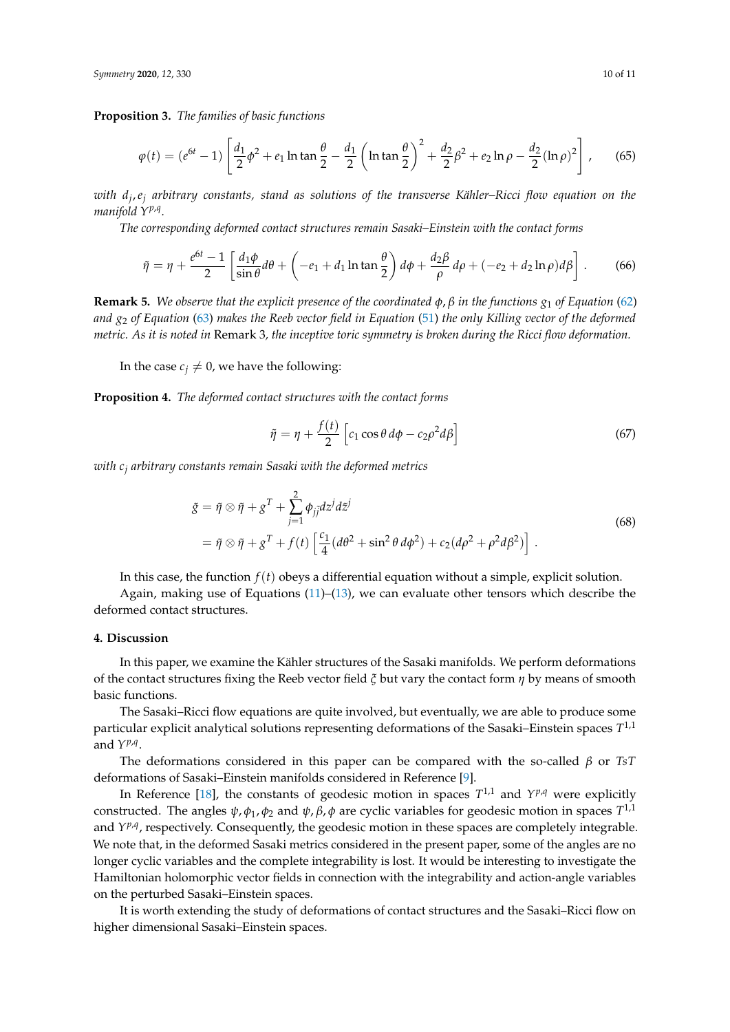**Proposition 3.** *The families of basic functions*

$$
\varphi(t) = (e^{6t} - 1) \left[ \frac{d_1}{2} \phi^2 + e_1 \ln \tan \frac{\theta}{2} - \frac{d_1}{2} \left( \ln \tan \frac{\theta}{2} \right)^2 + \frac{d_2}{2} \beta^2 + e_2 \ln \rho - \frac{d_2}{2} (\ln \rho)^2 \right],
$$
 (65)

*with d<sup>j</sup>* ,*e<sup>j</sup> arbitrary constants, stand as solutions of the transverse Kähler–Ricci flow equation on the manifold Yp*,*<sup>q</sup> .*

*The corresponding deformed contact structures remain Sasaki–Einstein with the contact forms*

$$
\tilde{\eta} = \eta + \frac{e^{6t} - 1}{2} \left[ \frac{d_1 \phi}{\sin \theta} d\theta + \left( -e_1 + d_1 \ln \tan \frac{\theta}{2} \right) d\phi + \frac{d_2 \beta}{\rho} d\rho + (-e_2 + d_2 \ln \rho) d\beta \right].
$$
 (66)

**Remark 5.** *We observe that the explicit presence of the coordinated*  $\phi$ ,  $\beta$  *in the functions*  $g_1$  *of Equation* [\(62\)](#page-8-2) *and g*<sup>2</sup> *of Equation* [\(63\)](#page-8-3) *makes the Reeb vector field in Equation* [\(51\)](#page-7-2) *the only Killing vector of the deformed metric. As it is noted in* Remark 3*, the inceptive toric symmetry is broken during the Ricci flow deformation.*

In the case  $c_j \neq 0$ , we have the following:

**Proposition 4.** *The deformed contact structures with the contact forms*

$$
\tilde{\eta} = \eta + \frac{f(t)}{2} \left[ c_1 \cos \theta \, d\phi - c_2 \rho^2 d\beta \right] \tag{67}
$$

*with c<sup>j</sup> arbitrary constants remain Sasaki with the deformed metrics*

$$
\tilde{g} = \tilde{\eta} \otimes \tilde{\eta} + g^T + \sum_{j=1}^2 \phi_{j\tilde{j}} dz^j d\tilde{z}^j
$$
\n
$$
= \tilde{\eta} \otimes \tilde{\eta} + g^T + f(t) \left[ \frac{c_1}{4} (d\theta^2 + \sin^2 \theta d\phi^2) + c_2 (d\rho^2 + \rho^2 d\beta^2) \right].
$$
\n(68)

In this case, the function *f*(*t*) obeys a differential equation without a simple, explicit solution.

Again, making use of Equations  $(11)$ – $(13)$ , we can evaluate other tensors which describe the deformed contact structures.

#### **4. Discussion**

In this paper, we examine the Kähler structures of the Sasaki manifolds. We perform deformations of the contact structures fixing the Reeb vector field *ξ* but vary the contact form *η* by means of smooth basic functions.

The Sasaki–Ricci flow equations are quite involved, but eventually, we are able to produce some particular explicit analytical solutions representing deformations of the Sasaki–Einstein spaces *T* 1,1 and  $Y^{p,q}$ .

The deformations considered in this paper can be compared with the so-called *β* or *TsT* deformations of Sasaki–Einstein manifolds considered in Reference [\[9\]](#page-10-8).

In Reference [\[18\]](#page-10-17), the constants of geodesic motion in spaces  $T^{1,1}$  and  $Y^{p,q}$  were explicitly constructed. The angles *ψ*, *φ*1, *φ*<sup>2</sup> and *ψ*, *β*, *φ* are cyclic variables for geodesic motion in spaces *T* 1,1 and *Y<sup>p,q</sup>*, respectively. Consequently, the geodesic motion in these spaces are completely integrable. We note that, in the deformed Sasaki metrics considered in the present paper, some of the angles are no longer cyclic variables and the complete integrability is lost. It would be interesting to investigate the Hamiltonian holomorphic vector fields in connection with the integrability and action-angle variables on the perturbed Sasaki–Einstein spaces.

It is worth extending the study of deformations of contact structures and the Sasaki–Ricci flow on higher dimensional Sasaki–Einstein spaces.